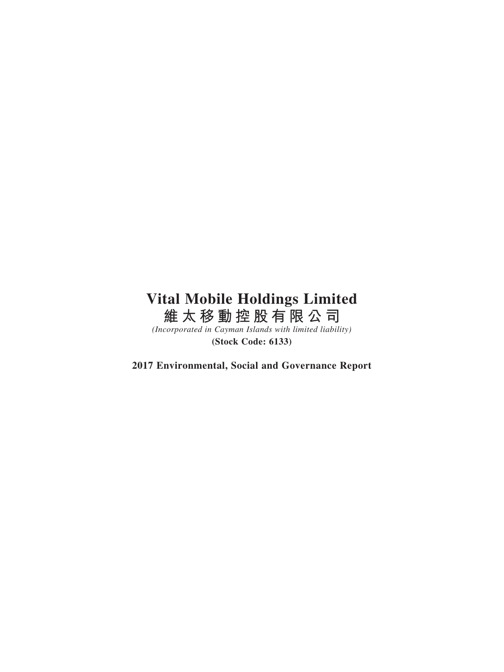# **Vital Mobile Holdings Limited 維太移動控股有限公司**

*(Incorporated in Cayman Islands with limited liability)* **(Stock Code: 6133)**

**2017 Environmental, Social and Governance Report**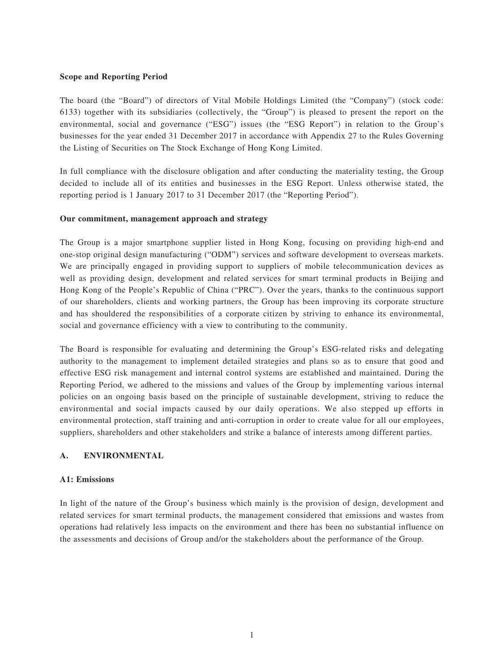## **Scope and Reporting Period**

The board (the "Board") of directors of Vital Mobile Holdings Limited (the "Company") (stock code: 6133) together with its subsidiaries (collectively, the "Group") is pleased to present the report on the environmental, social and governance ("ESG") issues (the "ESG Report") in relation to the Group's businesses for the year ended 31 December 2017 in accordance with Appendix 27 to the Rules Governing the Listing of Securities on The Stock Exchange of Hong Kong Limited.

In full compliance with the disclosure obligation and after conducting the materiality testing, the Group decided to include all of its entities and businesses in the ESG Report. Unless otherwise stated, the reporting period is 1 January 2017 to 31 December 2017 (the "Reporting Period").

## **Our commitment, management approach and strategy**

The Group is a major smartphone supplier listed in Hong Kong, focusing on providing high-end and one-stop original design manufacturing ("ODM") services and software development to overseas markets. We are principally engaged in providing support to suppliers of mobile telecommunication devices as well as providing design, development and related services for smart terminal products in Beijing and Hong Kong of the People's Republic of China ("PRC"). Over the years, thanks to the continuous support of our shareholders, clients and working partners, the Group has been improving its corporate structure and has shouldered the responsibilities of a corporate citizen by striving to enhance its environmental, social and governance efficiency with a view to contributing to the community.

The Board is responsible for evaluating and determining the Group's ESG-related risks and delegating authority to the management to implement detailed strategies and plans so as to ensure that good and effective ESG risk management and internal control systems are established and maintained. During the Reporting Period, we adhered to the missions and values of the Group by implementing various internal policies on an ongoing basis based on the principle of sustainable development, striving to reduce the environmental and social impacts caused by our daily operations. We also stepped up efforts in environmental protection, staff training and anti-corruption in order to create value for all our employees, suppliers, shareholders and other stakeholders and strike a balance of interests among different parties.

# **A. ENVIRONMENTAL**

#### **A1: Emissions**

In light of the nature of the Group's business which mainly is the provision of design, development and related services for smart terminal products, the management considered that emissions and wastes from operations had relatively less impacts on the environment and there has been no substantial influence on the assessments and decisions of Group and/or the stakeholders about the performance of the Group.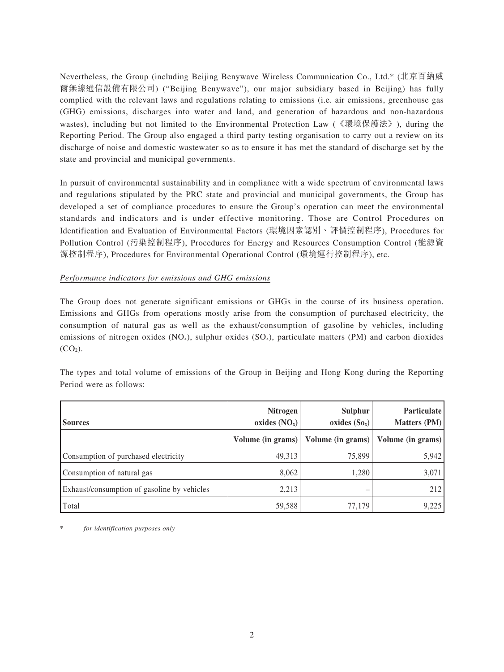Nevertheless, the Group (including Beijing Benywave Wireless Communication Co., Ltd.\* (北京百納威 爾無線通信設備有限公司) ("Beijing Benywave"), our major subsidiary based in Beijing) has fully complied with the relevant laws and regulations relating to emissions (i.e. air emissions, greenhouse gas (GHG) emissions, discharges into water and land, and generation of hazardous and non-hazardous wastes), including but not limited to the Environmental Protection Law (《環境保護法》), during the Reporting Period. The Group also engaged a third party testing organisation to carry out a review on its discharge of noise and domestic wastewater so as to ensure it has met the standard of discharge set by the state and provincial and municipal governments.

In pursuit of environmental sustainability and in compliance with a wide spectrum of environmental laws and regulations stipulated by the PRC state and provincial and municipal governments, the Group has developed a set of compliance procedures to ensure the Group's operation can meet the environmental standards and indicators and is under effective monitoring. Those are Control Procedures on Identification and Evaluation of Environmental Factors (環境因素認別、評價控制程序), Procedures for Pollution Control (污染控制程序), Procedures for Energy and Resources Consumption Control (能源資 源控制程序), Procedures for Environmental Operational Control (環境運行控制程序), etc.

# *Performance indicators for emissions and GHG emissions*

The Group does not generate significant emissions or GHGs in the course of its business operation. Emissions and GHGs from operations mostly arise from the consumption of purchased electricity, the consumption of natural gas as well as the exhaust/consumption of gasoline by vehicles, including emissions of nitrogen oxides  $(NO_x)$ , sulphur oxides  $(SO_x)$ , particulate matters  $(PM)$  and carbon dioxides  $(CO<sub>2</sub>)$ .

The types and total volume of emissions of the Group in Beijing and Hong Kong during the Reporting Period were as follows:

| <b>Sources</b>                              | Nitrogen<br>oxides $(NOx)$ | Sulphur<br>oxides $(So_x)$ | Particulate<br><b>Matters (PM)</b> |
|---------------------------------------------|----------------------------|----------------------------|------------------------------------|
|                                             | Volume (in grams)          | Volume (in grams)          | Volume (in grams)                  |
| Consumption of purchased electricity        | 49,313                     | 75,899                     | 5,942                              |
| Consumption of natural gas                  | 8,062                      | 1,280                      | 3,071                              |
| Exhaust/consumption of gasoline by vehicles | 2,213                      |                            | 212                                |
| Total                                       | 59,588                     | 77.179                     | 9,225                              |

for *identification* purposes only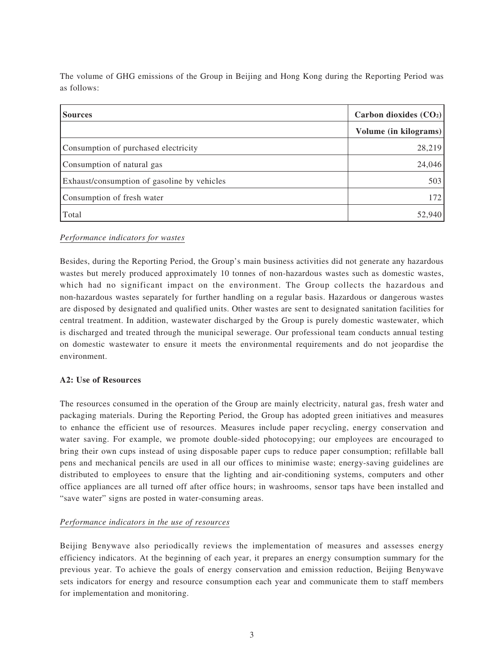The volume of GHG emissions of the Group in Beijing and Hong Kong during the Reporting Period was as follows:

| <b>Sources</b>                              | Carbon dioxides $(CO2)$ |
|---------------------------------------------|-------------------------|
|                                             | Volume (in kilograms)   |
| Consumption of purchased electricity        | 28,219                  |
| Consumption of natural gas                  | 24,046                  |
| Exhaust/consumption of gasoline by vehicles | 503                     |
| Consumption of fresh water                  | 172                     |
| Total                                       | 52,940                  |

# *Performance indicators for wastes*

Besides, during the Reporting Period, the Group's main business activities did not generate any hazardous wastes but merely produced approximately 10 tonnes of non-hazardous wastes such as domestic wastes, which had no significant impact on the environment. The Group collects the hazardous and non-hazardous wastes separately for further handling on a regular basis. Hazardous or dangerous wastes are disposed by designated and qualified units. Other wastes are sent to designated sanitation facilities for central treatment. In addition, wastewater discharged by the Group is purely domestic wastewater, which is discharged and treated through the municipal sewerage. Our professional team conducts annual testing on domestic wastewater to ensure it meets the environmental requirements and do not jeopardise the environment.

# **A2: Use of Resources**

The resources consumed in the operation of the Group are mainly electricity, natural gas, fresh water and packaging materials. During the Reporting Period, the Group has adopted green initiatives and measures to enhance the efficient use of resources. Measures include paper recycling, energy conservation and water saving. For example, we promote double-sided photocopying; our employees are encouraged to bring their own cups instead of using disposable paper cups to reduce paper consumption; refillable ball pens and mechanical pencils are used in all our offices to minimise waste; energy-saving guidelines are distributed to employees to ensure that the lighting and air-conditioning systems, computers and other office appliances are all turned off after office hours; in washrooms, sensor taps have been installed and "save water" signs are posted in water-consuming areas.

# *Performance indicators in the use of resources*

Beijing Benywave also periodically reviews the implementation of measures and assesses energy efficiency indicators. At the beginning of each year, it prepares an energy consumption summary for the previous year. To achieve the goals of energy conservation and emission reduction, Beijing Benywave sets indicators for energy and resource consumption each year and communicate them to staff members for implementation and monitoring.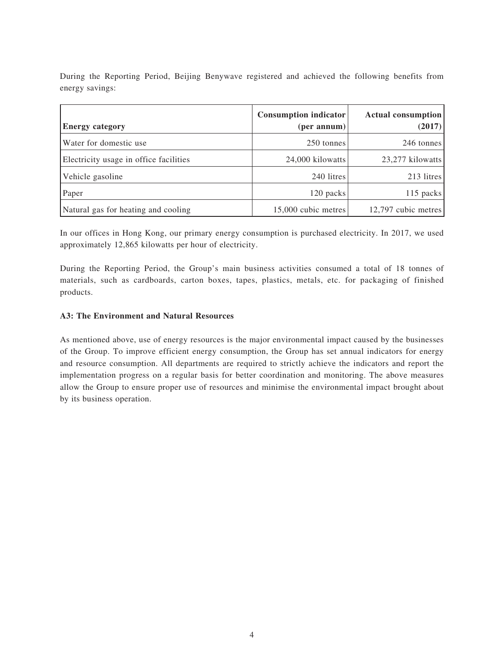During the Reporting Period, Beijing Benywave registered and achieved the following benefits from energy savings:

| <b>Energy category</b>                 | <b>Consumption indicator</b><br>(per annum) | Actual consumption<br>(2017) |
|----------------------------------------|---------------------------------------------|------------------------------|
| Water for domestic use                 | 250 tonnes                                  | 246 tonnes                   |
| Electricity usage in office facilities | 24,000 kilowatts                            | 23,277 kilowatts             |
| Vehicle gasoline                       | 240 litres                                  | 213 litres                   |
| Paper                                  | 120 packs                                   | 115 packs                    |
| Natural gas for heating and cooling    | 15,000 cubic metres                         | 12,797 cubic metres          |

In our offices in Hong Kong, our primary energy consumption is purchased electricity. In 2017, we used approximately 12,865 kilowatts per hour of electricity.

During the Reporting Period, the Group's main business activities consumed a total of 18 tonnes of materials, such as cardboards, carton boxes, tapes, plastics, metals, etc. for packaging of finished products.

# **A3: The Environment and Natural Resources**

As mentioned above, use of energy resources is the major environmental impact caused by the businesses of the Group. To improve efficient energy consumption, the Group has set annual indicators for energy and resource consumption. All departments are required to strictly achieve the indicators and report the implementation progress on a regular basis for better coordination and monitoring. The above measures allow the Group to ensure proper use of resources and minimise the environmental impact brought about by its business operation.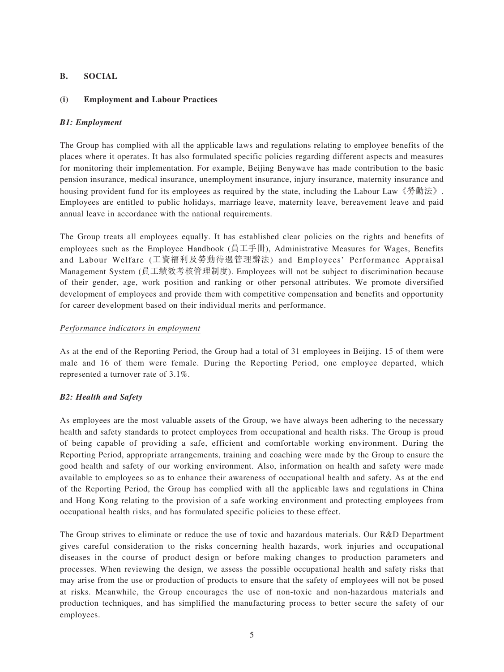# **B. SOCIAL**

# **(i) Employment and Labour Practices**

# *B1: Employment*

The Group has complied with all the applicable laws and regulations relating to employee benefits of the places where it operates. It has also formulated specific policies regarding different aspects and measures for monitoring their implementation. For example, Beijing Benywave has made contribution to the basic pension insurance, medical insurance, unemployment insurance, injury insurance, maternity insurance and housing provident fund for its employees as required by the state, including the Labour Law《勞動法》. Employees are entitled to public holidays, marriage leave, maternity leave, bereavement leave and paid annual leave in accordance with the national requirements.

The Group treats all employees equally. It has established clear policies on the rights and benefits of employees such as the Employee Handbook (員工手冊), Administrative Measures for Wages, Benefits and Labour Welfare (工資福利及勞動待遇管理辦法) and Employees' Performance Appraisal Management System (員工績效考核管理制度). Employees will not be subject to discrimination because of their gender, age, work position and ranking or other personal attributes. We promote diversified development of employees and provide them with competitive compensation and benefits and opportunity for career development based on their individual merits and performance.

# *Performance indicators in employment*

As at the end of the Reporting Period, the Group had a total of 31 employees in Beijing. 15 of them were male and 16 of them were female. During the Reporting Period, one employee departed, which represented a turnover rate of 3.1%.

# *B2: Health and Safety*

As employees are the most valuable assets of the Group, we have always been adhering to the necessary health and safety standards to protect employees from occupational and health risks. The Group is proud of being capable of providing a safe, efficient and comfortable working environment. During the Reporting Period, appropriate arrangements, training and coaching were made by the Group to ensure the good health and safety of our working environment. Also, information on health and safety were made available to employees so as to enhance their awareness of occupational health and safety. As at the end of the Reporting Period, the Group has complied with all the applicable laws and regulations in China and Hong Kong relating to the provision of a safe working environment and protecting employees from occupational health risks, and has formulated specific policies to these effect.

The Group strives to eliminate or reduce the use of toxic and hazardous materials. Our R&D Department gives careful consideration to the risks concerning health hazards, work injuries and occupational diseases in the course of product design or before making changes to production parameters and processes. When reviewing the design, we assess the possible occupational health and safety risks that may arise from the use or production of products to ensure that the safety of employees will not be posed at risks. Meanwhile, the Group encourages the use of non-toxic and non-hazardous materials and production techniques, and has simplified the manufacturing process to better secure the safety of our employees.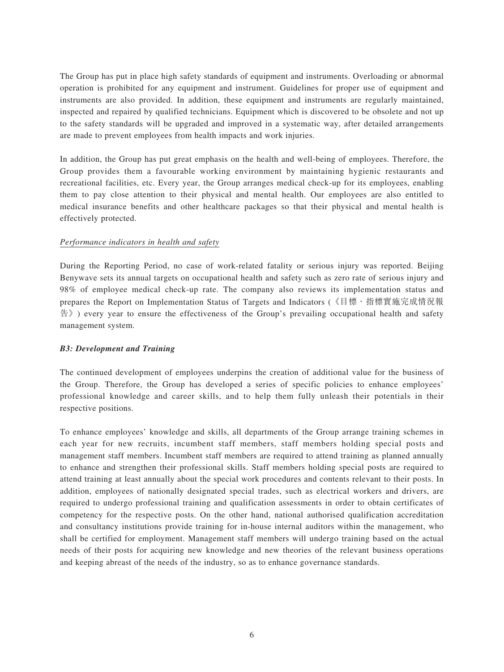The Group has put in place high safety standards of equipment and instruments. Overloading or abnormal operation is prohibited for any equipment and instrument. Guidelines for proper use of equipment and instruments are also provided. In addition, these equipment and instruments are regularly maintained, inspected and repaired by qualified technicians. Equipment which is discovered to be obsolete and not up to the safety standards will be upgraded and improved in a systematic way, after detailed arrangements are made to prevent employees from health impacts and work injuries.

In addition, the Group has put great emphasis on the health and well-being of employees. Therefore, the Group provides them a favourable working environment by maintaining hygienic restaurants and recreational facilities, etc. Every year, the Group arranges medical check-up for its employees, enabling them to pay close attention to their physical and mental health. Our employees are also entitled to medical insurance benefits and other healthcare packages so that their physical and mental health is effectively protected.

## *Performance indicators in health and safety*

During the Reporting Period, no case of work-related fatality or serious injury was reported. Beijing Benywave sets its annual targets on occupational health and safety such as zero rate of serious injury and 98% of employee medical check-up rate. The company also reviews its implementation status and prepares the Report on Implementation Status of Targets and Indicators (《目標、指標實施完成情況報 告》) every year to ensure the effectiveness of the Group's prevailing occupational health and safety management system.

# *B3: Development and Training*

The continued development of employees underpins the creation of additional value for the business of the Group. Therefore, the Group has developed a series of specific policies to enhance employees' professional knowledge and career skills, and to help them fully unleash their potentials in their respective positions.

To enhance employees' knowledge and skills, all departments of the Group arrange training schemes in each year for new recruits, incumbent staff members, staff members holding special posts and management staff members. Incumbent staff members are required to attend training as planned annually to enhance and strengthen their professional skills. Staff members holding special posts are required to attend training at least annually about the special work procedures and contents relevant to their posts. In addition, employees of nationally designated special trades, such as electrical workers and drivers, are required to undergo professional training and qualification assessments in order to obtain certificates of competency for the respective posts. On the other hand, national authorised qualification accreditation and consultancy institutions provide training for in-house internal auditors within the management, who shall be certified for employment. Management staff members will undergo training based on the actual needs of their posts for acquiring new knowledge and new theories of the relevant business operations and keeping abreast of the needs of the industry, so as to enhance governance standards.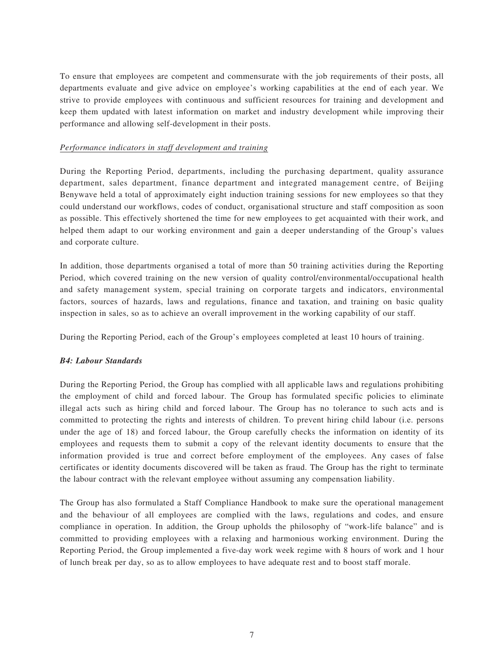To ensure that employees are competent and commensurate with the job requirements of their posts, all departments evaluate and give advice on employee's working capabilities at the end of each year. We strive to provide employees with continuous and sufficient resources for training and development and keep them updated with latest information on market and industry development while improving their performance and allowing self-development in their posts.

## *Performance indicators in staff development and training*

During the Reporting Period, departments, including the purchasing department, quality assurance department, sales department, finance department and integrated management centre, of Beijing Benywave held a total of approximately eight induction training sessions for new employees so that they could understand our workflows, codes of conduct, organisational structure and staff composition as soon as possible. This effectively shortened the time for new employees to get acquainted with their work, and helped them adapt to our working environment and gain a deeper understanding of the Group's values and corporate culture.

In addition, those departments organised a total of more than 50 training activities during the Reporting Period, which covered training on the new version of quality control/environmental/occupational health and safety management system, special training on corporate targets and indicators, environmental factors, sources of hazards, laws and regulations, finance and taxation, and training on basic quality inspection in sales, so as to achieve an overall improvement in the working capability of our staff.

During the Reporting Period, each of the Group's employees completed at least 10 hours of training.

# *B4: Labour Standards*

During the Reporting Period, the Group has complied with all applicable laws and regulations prohibiting the employment of child and forced labour. The Group has formulated specific policies to eliminate illegal acts such as hiring child and forced labour. The Group has no tolerance to such acts and is committed to protecting the rights and interests of children. To prevent hiring child labour (i.e. persons under the age of 18) and forced labour, the Group carefully checks the information on identity of its employees and requests them to submit a copy of the relevant identity documents to ensure that the information provided is true and correct before employment of the employees. Any cases of false certificates or identity documents discovered will be taken as fraud. The Group has the right to terminate the labour contract with the relevant employee without assuming any compensation liability.

The Group has also formulated a Staff Compliance Handbook to make sure the operational management and the behaviour of all employees are complied with the laws, regulations and codes, and ensure compliance in operation. In addition, the Group upholds the philosophy of "work-life balance" and is committed to providing employees with a relaxing and harmonious working environment. During the Reporting Period, the Group implemented a five-day work week regime with 8 hours of work and 1 hour of lunch break per day, so as to allow employees to have adequate rest and to boost staff morale.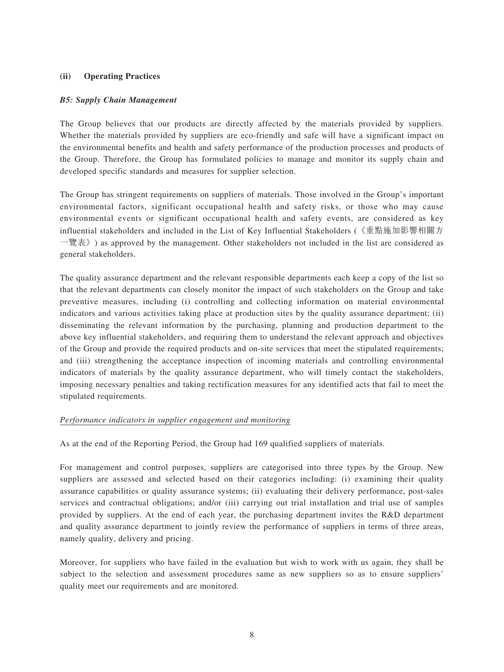# **(ii) Operating Practices**

## *B5: Supply Chain Management*

The Group believes that our products are directly affected by the materials provided by suppliers. Whether the materials provided by suppliers are eco-friendly and safe will have a significant impact on the environmental benefits and health and safety performance of the production processes and products of the Group. Therefore, the Group has formulated policies to manage and monitor its supply chain and developed specific standards and measures for supplier selection.

The Group has stringent requirements on suppliers of materials. Those involved in the Group's important environmental factors, significant occupational health and safety risks, or those who may cause environmental events or significant occupational health and safety events, are considered as key influential stakeholders and included in the List of Key Influential Stakeholders (《重點施加影響相關方 一覽表》) as approved by the management. Other stakeholders not included in the list are considered as general stakeholders.

The quality assurance department and the relevant responsible departments each keep a copy of the list so that the relevant departments can closely monitor the impact of such stakeholders on the Group and take preventive measures, including (i) controlling and collecting information on material environmental indicators and various activities taking place at production sites by the quality assurance department; (ii) disseminating the relevant information by the purchasing, planning and production department to the above key influential stakeholders, and requiring them to understand the relevant approach and objectives of the Group and provide the required products and on-site services that meet the stipulated requirements; and (iii) strengthening the acceptance inspection of incoming materials and controlling environmental indicators of materials by the quality assurance department, who will timely contact the stakeholders, imposing necessary penalties and taking rectification measures for any identified acts that fail to meet the stipulated requirements.

#### *Performance indicators in supplier engagement and monitoring*

As at the end of the Reporting Period, the Group had 169 qualified suppliers of materials.

For management and control purposes, suppliers are categorised into three types by the Group. New suppliers are assessed and selected based on their categories including: (i) examining their quality assurance capabilities or quality assurance systems; (ii) evaluating their delivery performance, post-sales services and contractual obligations; and/or (iii) carrying out trial installation and trial use of samples provided by suppliers. At the end of each year, the purchasing department invites the R&D department and quality assurance department to jointly review the performance of suppliers in terms of three areas, namely quality, delivery and pricing.

Moreover, for suppliers who have failed in the evaluation but wish to work with us again, they shall be subject to the selection and assessment procedures same as new suppliers so as to ensure suppliers' quality meet our requirements and are monitored.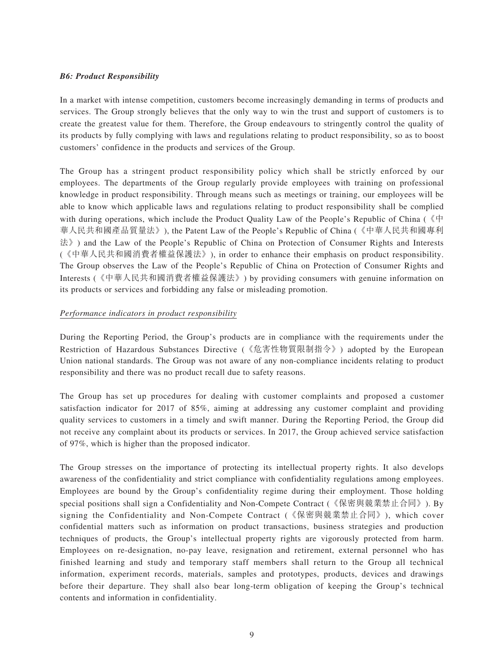## *B6: Product Responsibility*

In a market with intense competition, customers become increasingly demanding in terms of products and services. The Group strongly believes that the only way to win the trust and support of customers is to create the greatest value for them. Therefore, the Group endeavours to stringently control the quality of its products by fully complying with laws and regulations relating to product responsibility, so as to boost customers' confidence in the products and services of the Group.

The Group has a stringent product responsibility policy which shall be strictly enforced by our employees. The departments of the Group regularly provide employees with training on professional knowledge in product responsibility. Through means such as meetings or training, our employees will be able to know which applicable laws and regulations relating to product responsibility shall be complied with during operations, which include the Product Quality Law of the People's Republic of China (《中 華人民共和國產品質量法》), the Patent Law of the People's Republic of China (《中華人民共和國專利 法》) and the Law of the People's Republic of China on Protection of Consumer Rights and Interests (《中華人民共和國消費者權益保護法》), in order to enhance their emphasis on product responsibility. The Group observes the Law of the People's Republic of China on Protection of Consumer Rights and Interests (《中華人民共和國消費者權益保護法》) by providing consumers with genuine information on its products or services and forbidding any false or misleading promotion.

## *Performance indicators in product responsibility*

During the Reporting Period, the Group's products are in compliance with the requirements under the Restriction of Hazardous Substances Directive (《危害性物質限制指令》) adopted by the European Union national standards. The Group was not aware of any non-compliance incidents relating to product responsibility and there was no product recall due to safety reasons.

The Group has set up procedures for dealing with customer complaints and proposed a customer satisfaction indicator for 2017 of 85%, aiming at addressing any customer complaint and providing quality services to customers in a timely and swift manner. During the Reporting Period, the Group did not receive any complaint about its products or services. In 2017, the Group achieved service satisfaction of 97%, which is higher than the proposed indicator.

The Group stresses on the importance of protecting its intellectual property rights. It also develops awareness of the confidentiality and strict compliance with confidentiality regulations among employees. Employees are bound by the Group's confidentiality regime during their employment. Those holding special positions shall sign a Confidentiality and Non-Compete Contract (《保密與競業禁止合同》). By signing the Confidentiality and Non-Compete Contract (《保密與競業禁止合同》), which cover confidential matters such as information on product transactions, business strategies and production techniques of products, the Group's intellectual property rights are vigorously protected from harm. Employees on re-designation, no-pay leave, resignation and retirement, external personnel who has finished learning and study and temporary staff members shall return to the Group all technical information, experiment records, materials, samples and prototypes, products, devices and drawings before their departure. They shall also bear long-term obligation of keeping the Group's technical contents and information in confidentiality.